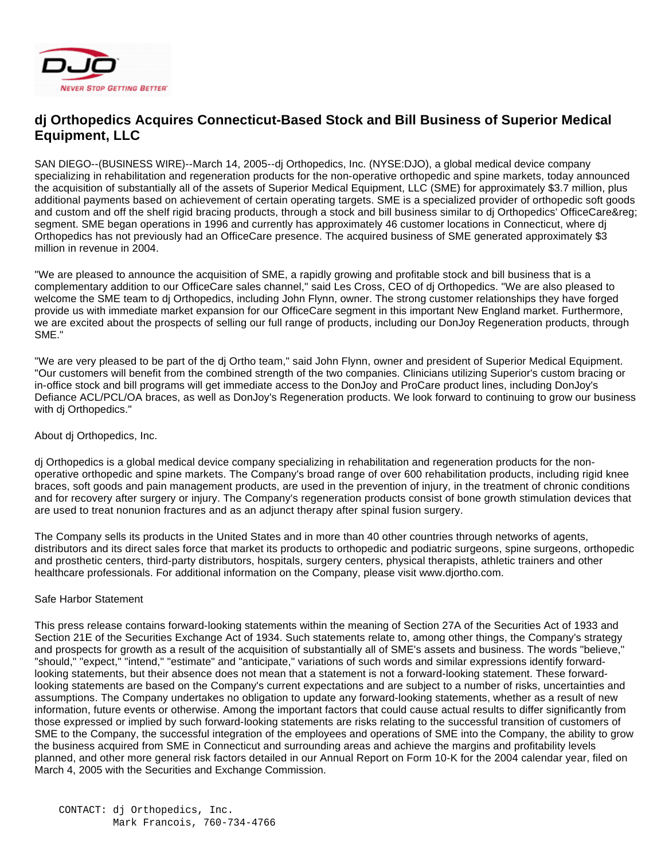

## **dj Orthopedics Acquires Connecticut-Based Stock and Bill Business of Superior Medical Equipment, LLC**

SAN DIEGO--(BUSINESS WIRE)--March 14, 2005--dj Orthopedics, Inc. (NYSE:DJO), a global medical device company specializing in rehabilitation and regeneration products for the non-operative orthopedic and spine markets, today announced the acquisition of substantially all of the assets of Superior Medical Equipment, LLC (SME) for approximately \$3.7 million, plus additional payments based on achievement of certain operating targets. SME is a specialized provider of orthopedic soft goods and custom and off the shelf rigid bracing products, through a stock and bill business similar to di Orthopedics' OfficeCare&reg: segment. SME began operations in 1996 and currently has approximately 46 customer locations in Connecticut, where dj Orthopedics has not previously had an OfficeCare presence. The acquired business of SME generated approximately \$3 million in revenue in 2004.

"We are pleased to announce the acquisition of SME, a rapidly growing and profitable stock and bill business that is a complementary addition to our OfficeCare sales channel," said Les Cross, CEO of dj Orthopedics. "We are also pleased to welcome the SME team to dj Orthopedics, including John Flynn, owner. The strong customer relationships they have forged provide us with immediate market expansion for our OfficeCare segment in this important New England market. Furthermore, we are excited about the prospects of selling our full range of products, including our DonJoy Regeneration products, through SME."

"We are very pleased to be part of the dj Ortho team," said John Flynn, owner and president of Superior Medical Equipment. "Our customers will benefit from the combined strength of the two companies. Clinicians utilizing Superior's custom bracing or in-office stock and bill programs will get immediate access to the DonJoy and ProCare product lines, including DonJoy's Defiance ACL/PCL/OA braces, as well as DonJoy's Regeneration products. We look forward to continuing to grow our business with di Orthopedics."

## About dj Orthopedics, Inc.

dj Orthopedics is a global medical device company specializing in rehabilitation and regeneration products for the nonoperative orthopedic and spine markets. The Company's broad range of over 600 rehabilitation products, including rigid knee braces, soft goods and pain management products, are used in the prevention of injury, in the treatment of chronic conditions and for recovery after surgery or injury. The Company's regeneration products consist of bone growth stimulation devices that are used to treat nonunion fractures and as an adjunct therapy after spinal fusion surgery.

The Company sells its products in the United States and in more than 40 other countries through networks of agents, distributors and its direct sales force that market its products to orthopedic and podiatric surgeons, spine surgeons, orthopedic and prosthetic centers, third-party distributors, hospitals, surgery centers, physical therapists, athletic trainers and other healthcare professionals. For additional information on the Company, please visit www.djortho.com.

## Safe Harbor Statement

This press release contains forward-looking statements within the meaning of Section 27A of the Securities Act of 1933 and Section 21E of the Securities Exchange Act of 1934. Such statements relate to, among other things, the Company's strategy and prospects for growth as a result of the acquisition of substantially all of SME's assets and business. The words "believe," "should," "expect," "intend," "estimate" and "anticipate," variations of such words and similar expressions identify forwardlooking statements, but their absence does not mean that a statement is not a forward-looking statement. These forwardlooking statements are based on the Company's current expectations and are subject to a number of risks, uncertainties and assumptions. The Company undertakes no obligation to update any forward-looking statements, whether as a result of new information, future events or otherwise. Among the important factors that could cause actual results to differ significantly from those expressed or implied by such forward-looking statements are risks relating to the successful transition of customers of SME to the Company, the successful integration of the employees and operations of SME into the Company, the ability to grow the business acquired from SME in Connecticut and surrounding areas and achieve the margins and profitability levels planned, and other more general risk factors detailed in our Annual Report on Form 10-K for the 2004 calendar year, filed on March 4, 2005 with the Securities and Exchange Commission.